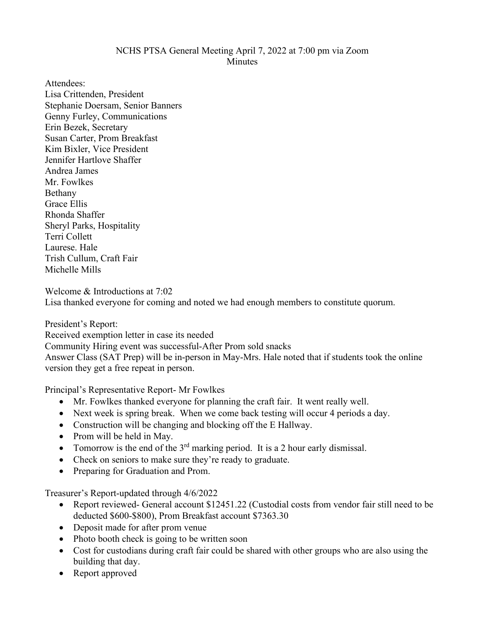## NCHS PTSA General Meeting April 7, 2022 at 7:00 pm via Zoom Minutes

Attendees: Lisa Crittenden, President Stephanie Doersam, Senior Banners Genny Furley, Communications Erin Bezek, Secretary Susan Carter, Prom Breakfast Kim Bixler, Vice President Jennifer Hartlove Shaffer Andrea James Mr. Fowlkes Bethany Grace Ellis Rhonda Shaffer Sheryl Parks, Hospitality Terri Collett Laurese. Hale Trish Cullum, Craft Fair Michelle Mills

Welcome & Introductions at 7:02 Lisa thanked everyone for coming and noted we had enough members to constitute quorum.

President's Report: Received exemption letter in case its needed Community Hiring event was successful-After Prom sold snacks Answer Class (SAT Prep) will be in-person in May-Mrs. Hale noted that if students took the online version they get a free repeat in person.

Principal's Representative Report- Mr Fowlkes

- Mr. Fowlkes thanked everyone for planning the craft fair. It went really well.
- Next week is spring break. When we come back testing will occur 4 periods a day.
- Construction will be changing and blocking off the E Hallway.
- Prom will be held in May.
- Tomorrow is the end of the  $3<sup>rd</sup>$  marking period. It is a 2 hour early dismissal.
- Check on seniors to make sure they're ready to graduate.
- Preparing for Graduation and Prom.

Treasurer's Report-updated through 4/6/2022

- Report reviewed- General account \$12451.22 (Custodial costs from vendor fair still need to be deducted \$600-\$800), Prom Breakfast account \$7363.30
- Deposit made for after prom venue
- Photo booth check is going to be written soon
- Cost for custodians during craft fair could be shared with other groups who are also using the building that day.
- Report approved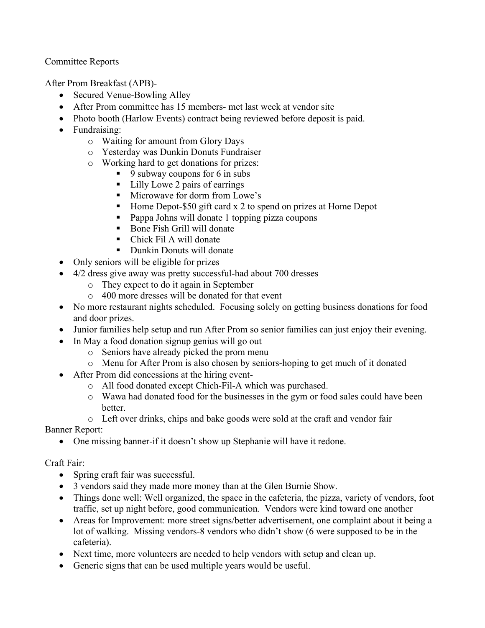Committee Reports

After Prom Breakfast (APB)-

- Secured Venue-Bowling Alley
- After Prom committee has 15 members- met last week at vendor site
- Photo booth (Harlow Events) contract being reviewed before deposit is paid.
- Fundraising:
	- o Waiting for amount from Glory Days
	- o Yesterday was Dunkin Donuts Fundraiser
	- o Working hard to get donations for prizes:
		- $\blacksquare$  9 subway coupons for 6 in subs
		- Lilly Lowe 2 pairs of earrings
		- **Microwave for dorm from Lowe's**
		- Home Depot-\$50 gift card  $x$  2 to spend on prizes at Home Depot
		- **Pappa Johns will donate 1 topping pizza coupons**
		- Bone Fish Grill will donate
		- Chick Fil A will donate
		- Dunkin Donuts will donate
- Only seniors will be eligible for prizes
- 4/2 dress give away was pretty successful-had about 700 dresses
	- o They expect to do it again in September
	- o 400 more dresses will be donated for that event
- No more restaurant nights scheduled. Focusing solely on getting business donations for food and door prizes.
- Junior families help setup and run After Prom so senior families can just enjoy their evening.
- In May a food donation signup genius will go out
	- o Seniors have already picked the prom menu
	- o Menu for After Prom is also chosen by seniors-hoping to get much of it donated
- After Prom did concessions at the hiring event
	- o All food donated except Chich-Fil-A which was purchased.
	- o Wawa had donated food for the businesses in the gym or food sales could have been better.
	- o Left over drinks, chips and bake goods were sold at the craft and vendor fair

Banner Report:

• One missing banner-if it doesn't show up Stephanie will have it redone.

Craft Fair:

- Spring craft fair was successful.
- 3 vendors said they made more money than at the Glen Burnie Show.
- Things done well: Well organized, the space in the cafeteria, the pizza, variety of vendors, foot traffic, set up night before, good communication. Vendors were kind toward one another
- Areas for Improvement: more street signs/better advertisement, one complaint about it being a lot of walking. Missing vendors-8 vendors who didn't show (6 were supposed to be in the cafeteria).
- Next time, more volunteers are needed to help vendors with setup and clean up.
- Generic signs that can be used multiple years would be useful.